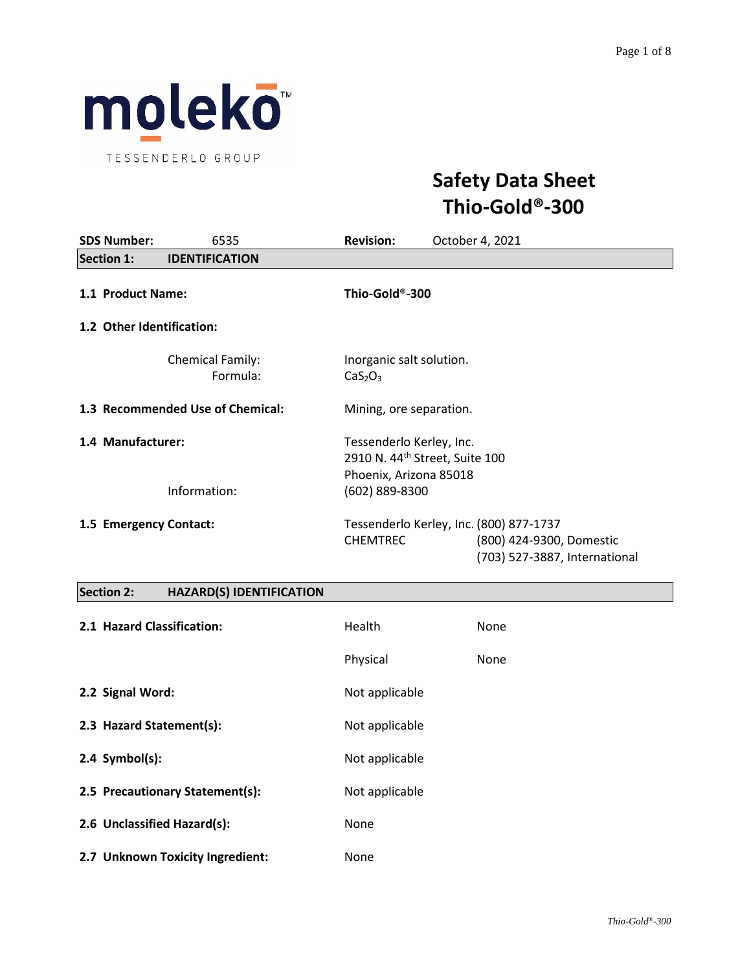

# **Safety Data Sheet Thio-Gold®-300**

| <b>SDS Number:</b>                | 6535                                | <b>Revision:</b><br>October 4, 2021                                                                                     |  |
|-----------------------------------|-------------------------------------|-------------------------------------------------------------------------------------------------------------------------|--|
| <b>Section 1:</b>                 | <b>IDENTIFICATION</b>               |                                                                                                                         |  |
| 1.1 Product Name:                 |                                     | Thio-Gold®-300                                                                                                          |  |
| 1.2 Other Identification:         |                                     |                                                                                                                         |  |
|                                   | <b>Chemical Family:</b><br>Formula: | Inorganic salt solution.<br>CaS <sub>2</sub> O <sub>3</sub>                                                             |  |
|                                   | 1.3 Recommended Use of Chemical:    | Mining, ore separation.                                                                                                 |  |
| 1.4 Manufacturer:<br>Information: |                                     | Tessenderlo Kerley, Inc.<br>2910 N. 44 <sup>th</sup> Street, Suite 100<br>Phoenix, Arizona 85018<br>(602) 889-8300      |  |
| 1.5 Emergency Contact:            |                                     | Tessenderlo Kerley, Inc. (800) 877-1737<br><b>CHEMTREC</b><br>(800) 424-9300, Domestic<br>(703) 527-3887, International |  |

# **Section 2: HAZARD(S) IDENTIFICATION**

| 2.1 Hazard Classification:       | Health         | None |
|----------------------------------|----------------|------|
|                                  | Physical       | None |
| 2.2 Signal Word:                 | Not applicable |      |
| 2.3 Hazard Statement(s):         | Not applicable |      |
| $2.4$ Symbol(s):                 | Not applicable |      |
| 2.5 Precautionary Statement(s):  | Not applicable |      |
| 2.6 Unclassified Hazard(s):      | None           |      |
| 2.7 Unknown Toxicity Ingredient: | None           |      |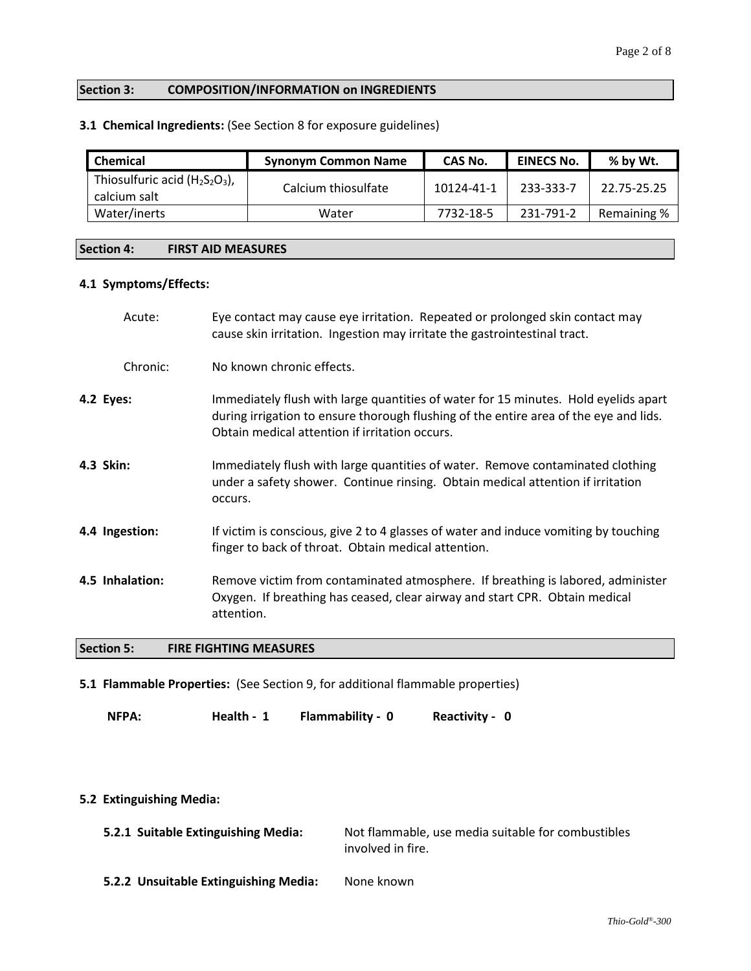## **Section 3: COMPOSITION/INFORMATION on INGREDIENTS**

## **3.1 Chemical Ingredients:** (See Section 8 for exposure guidelines)

| <b>Chemical</b><br><b>Synonym Common Name</b>     |                     | CAS No.    | <b>EINECS No.</b> | % by Wt.    |
|---------------------------------------------------|---------------------|------------|-------------------|-------------|
| Thiosulfuric acid $(H_2S_2O_3)$ ,<br>calcium salt | Calcium thiosulfate | 10124-41-1 | 233-333-7         | 22.75-25.25 |
| Water/inerts                                      | Water               | 7732-18-5  | 231-791-2         | Remaining % |

#### **Section 4: FIRST AID MEASURES**

#### **4.1 Symptoms/Effects:**

|           | Acute:          | Eye contact may cause eye irritation. Repeated or prolonged skin contact may<br>cause skin irritation. Ingestion may irritate the gastrointestinal tract.                                                                      |
|-----------|-----------------|--------------------------------------------------------------------------------------------------------------------------------------------------------------------------------------------------------------------------------|
|           | Chronic:        | No known chronic effects.                                                                                                                                                                                                      |
| 4.2 Eyes: |                 | Immediately flush with large quantities of water for 15 minutes. Hold eyelids apart<br>during irrigation to ensure thorough flushing of the entire area of the eye and lids.<br>Obtain medical attention if irritation occurs. |
| 4.3 Skin: |                 | Immediately flush with large quantities of water. Remove contaminated clothing<br>under a safety shower. Continue rinsing. Obtain medical attention if irritation<br>occurs.                                                   |
|           | 4.4 Ingestion:  | If victim is conscious, give 2 to 4 glasses of water and induce vomiting by touching<br>finger to back of throat. Obtain medical attention.                                                                                    |
|           | 4.5 Inhalation: | Remove victim from contaminated atmosphere. If breathing is labored, administer<br>Oxygen. If breathing has ceased, clear airway and start CPR. Obtain medical<br>attention.                                                   |

## **Section 5: FIRE FIGHTING MEASURES**

**5.1 Flammable Properties:** (See Section 9, for additional flammable properties)

**NFPA: Health - 1 Flammability - 0 Reactivity - 0**

## **5.2 Extinguishing Media:**

| 5.2.1 Suitable Extinguishing Media: | Not flammable, use media suitable for combustibles |
|-------------------------------------|----------------------------------------------------|
|                                     | involved in fire.                                  |

**5.2.2 Unsuitable Extinguishing Media:** None known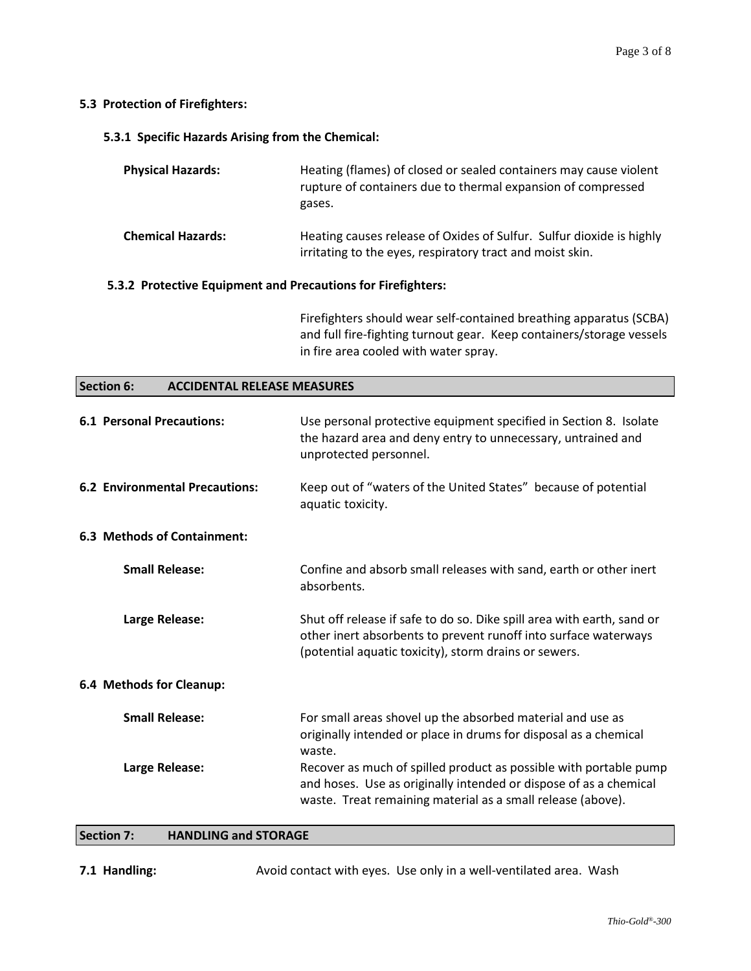## **5.3 Protection of Firefighters:**

**5.3.1 Specific Hazards Arising from the Chemical:**

| <b>Physical Hazards:</b>                                     | Heating (flames) of closed or sealed containers may cause violent<br>rupture of containers due to thermal expansion of compressed<br>gases. |  |
|--------------------------------------------------------------|---------------------------------------------------------------------------------------------------------------------------------------------|--|
| <b>Chemical Hazards:</b>                                     | Heating causes release of Oxides of Sulfur. Sulfur dioxide is highly<br>irritating to the eyes, respiratory tract and moist skin.           |  |
| 5.3.2 Protective Equipment and Precautions for Firefighters: |                                                                                                                                             |  |

Firefighters should wear self-contained breathing apparatus (SCBA) and full fire-fighting turnout gear. Keep containers/storage vessels in fire area cooled with water spray.

#### **Section 6: ACCIDENTAL RELEASE MEASURES**

| <b>6.1 Personal Precautions:</b>      | Use personal protective equipment specified in Section 8. Isolate<br>the hazard area and deny entry to unnecessary, untrained and<br>unprotected personnel.                                           |
|---------------------------------------|-------------------------------------------------------------------------------------------------------------------------------------------------------------------------------------------------------|
| <b>6.2 Environmental Precautions:</b> | Keep out of "waters of the United States" because of potential<br>aquatic toxicity.                                                                                                                   |
| <b>6.3 Methods of Containment:</b>    |                                                                                                                                                                                                       |
| <b>Small Release:</b>                 | Confine and absorb small releases with sand, earth or other inert<br>absorbents.                                                                                                                      |
| Large Release:                        | Shut off release if safe to do so. Dike spill area with earth, sand or<br>other inert absorbents to prevent runoff into surface waterways<br>(potential aquatic toxicity), storm drains or sewers.    |
| 6.4 Methods for Cleanup:              |                                                                                                                                                                                                       |
| <b>Small Release:</b>                 | For small areas shovel up the absorbed material and use as<br>originally intended or place in drums for disposal as a chemical<br>waste.                                                              |
| Large Release:                        | Recover as much of spilled product as possible with portable pump<br>and hoses. Use as originally intended or dispose of as a chemical<br>waste. Treat remaining material as a small release (above). |

## **Section 7: HANDLING and STORAGE**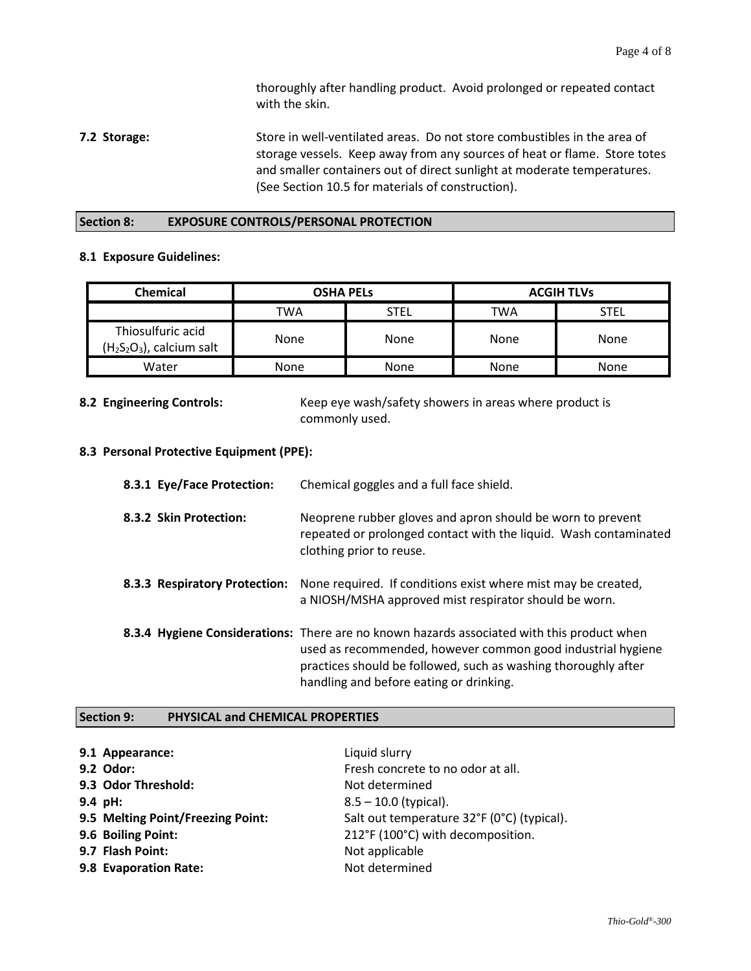thoroughly after handling product. Avoid prolonged or repeated contact with the skin.

**7.2 Storage:** Store in well-ventilated areas. Do not store combustibles in the area of storage vessels. Keep away from any sources of heat or flame. Store totes and smaller containers out of direct sunlight at moderate temperatures. (See Section 10.5 for materials of construction).

#### **Section 8: EXPOSURE CONTROLS/PERSONAL PROTECTION**

## **8.1 Exposure Guidelines:**

| Chemical                                       | <b>OSHA PELS</b> |      | <b>ACGIH TLVs</b> |      |
|------------------------------------------------|------------------|------|-------------------|------|
|                                                | TWA              | STEL | TWA               | STEL |
| Thiosulfuric acid<br>$(H2S2O3)$ , calcium salt | None             | None | None              | None |
| Water                                          | None             | None | None              | None |

**8.2 Engineering Controls:** Keep eye wash/safety showers in areas where product is commonly used.

## **8.3 Personal Protective Equipment (PPE):**

| 8.3.1 Eye/Face Protection:    | Chemical goggles and a full face shield.                                                                                                                                                                                                                               |
|-------------------------------|------------------------------------------------------------------------------------------------------------------------------------------------------------------------------------------------------------------------------------------------------------------------|
| 8.3.2 Skin Protection:        | Neoprene rubber gloves and apron should be worn to prevent<br>repeated or prolonged contact with the liquid. Wash contaminated<br>clothing prior to reuse.                                                                                                             |
| 8.3.3 Respiratory Protection: | None required. If conditions exist where mist may be created,<br>a NIOSH/MSHA approved mist respirator should be worn.                                                                                                                                                 |
|                               | 8.3.4 Hygiene Considerations: There are no known hazards associated with this product when<br>used as recommended, however common good industrial hygiene<br>practices should be followed, such as washing thoroughly after<br>handling and before eating or drinking. |

#### **Section 9: PHYSICAL and CHEMICAL PROPERTIES**

| 9.1 Appearance:                   | Liquid slurry                              |
|-----------------------------------|--------------------------------------------|
| 9.2 Odor:                         | Fresh concrete to no odor at all.          |
| 9.3 Odor Threshold:               | Not determined                             |
| $9.4$ pH:                         | $8.5 - 10.0$ (typical).                    |
| 9.5 Melting Point/Freezing Point: | Salt out temperature 32°F (0°C) (typical). |
| 9.6 Boiling Point:                | 212°F (100°C) with decomposition.          |
| 9.7 Flash Point:                  | Not applicable                             |
| 9.8 Evaporation Rate:             | Not determined                             |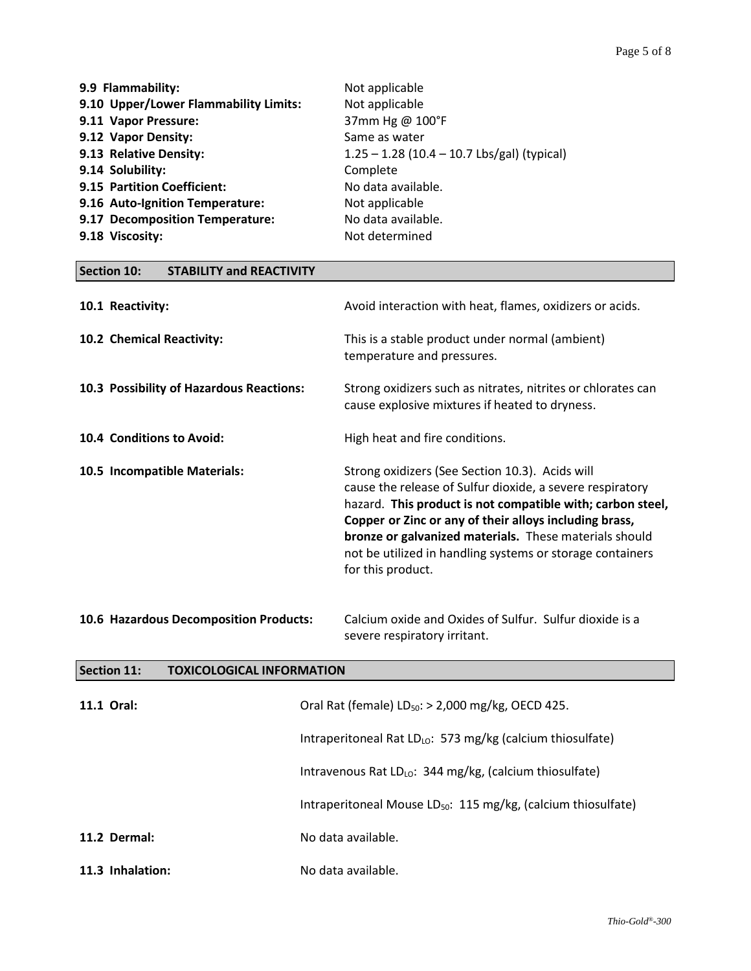┑

| 9.9 Flammability:                     | Not applicable                                |
|---------------------------------------|-----------------------------------------------|
| 9.10 Upper/Lower Flammability Limits: | Not applicable                                |
| 9.11 Vapor Pressure:                  | 37mm Hg @ 100°F                               |
| 9.12 Vapor Density:                   | Same as water                                 |
| 9.13 Relative Density:                | $1.25 - 1.28$ (10.4 - 10.7 Lbs/gal) (typical) |
| 9.14 Solubility:                      | Complete                                      |
| 9.15 Partition Coefficient:           | No data available.                            |
| 9.16 Auto-Ignition Temperature:       | Not applicable                                |
| 9.17 Decomposition Temperature:       | No data available.                            |
| 9.18 Viscosity:                       | Not determined                                |

| <b>Section 10:</b><br><b>STABILITY and REACTIVITY</b>  |                                                                                                                                                                                                                                                                                                                                                                                  |  |
|--------------------------------------------------------|----------------------------------------------------------------------------------------------------------------------------------------------------------------------------------------------------------------------------------------------------------------------------------------------------------------------------------------------------------------------------------|--|
| 10.1 Reactivity:                                       | Avoid interaction with heat, flames, oxidizers or acids.                                                                                                                                                                                                                                                                                                                         |  |
| 10.2 Chemical Reactivity:                              | This is a stable product under normal (ambient)<br>temperature and pressures.                                                                                                                                                                                                                                                                                                    |  |
| 10.3 Possibility of Hazardous Reactions:               | Strong oxidizers such as nitrates, nitrites or chlorates can<br>cause explosive mixtures if heated to dryness.                                                                                                                                                                                                                                                                   |  |
| 10.4 Conditions to Avoid:                              | High heat and fire conditions.                                                                                                                                                                                                                                                                                                                                                   |  |
| 10.5 Incompatible Materials:                           | Strong oxidizers (See Section 10.3). Acids will<br>cause the release of Sulfur dioxide, a severe respiratory<br>hazard. This product is not compatible with; carbon steel,<br>Copper or Zinc or any of their alloys including brass,<br>bronze or galvanized materials. These materials should<br>not be utilized in handling systems or storage containers<br>for this product. |  |
| 10.6 Hazardous Decomposition Products:                 | Calcium oxide and Oxides of Sulfur. Sulfur dioxide is a<br>severe respiratory irritant.                                                                                                                                                                                                                                                                                          |  |
| <b>Section 11:</b><br><b>TOXICOLOGICAL INFORMATION</b> |                                                                                                                                                                                                                                                                                                                                                                                  |  |

| 11.1 Oral:       | Oral Rat (female) $LD_{50}$ : > 2,000 mg/kg, OECD 425.                    |  |
|------------------|---------------------------------------------------------------------------|--|
|                  | Intraperitoneal Rat $LD_{LO}$ : 573 mg/kg (calcium thiosulfate)           |  |
|                  | Intravenous Rat LD <sub>LO</sub> : 344 mg/kg, (calcium thiosulfate)       |  |
|                  | Intraperitoneal Mouse LD <sub>50</sub> : 115 mg/kg, (calcium thiosulfate) |  |
| 11.2 Dermal:     | No data available.                                                        |  |
| 11.3 Inhalation: | No data available.                                                        |  |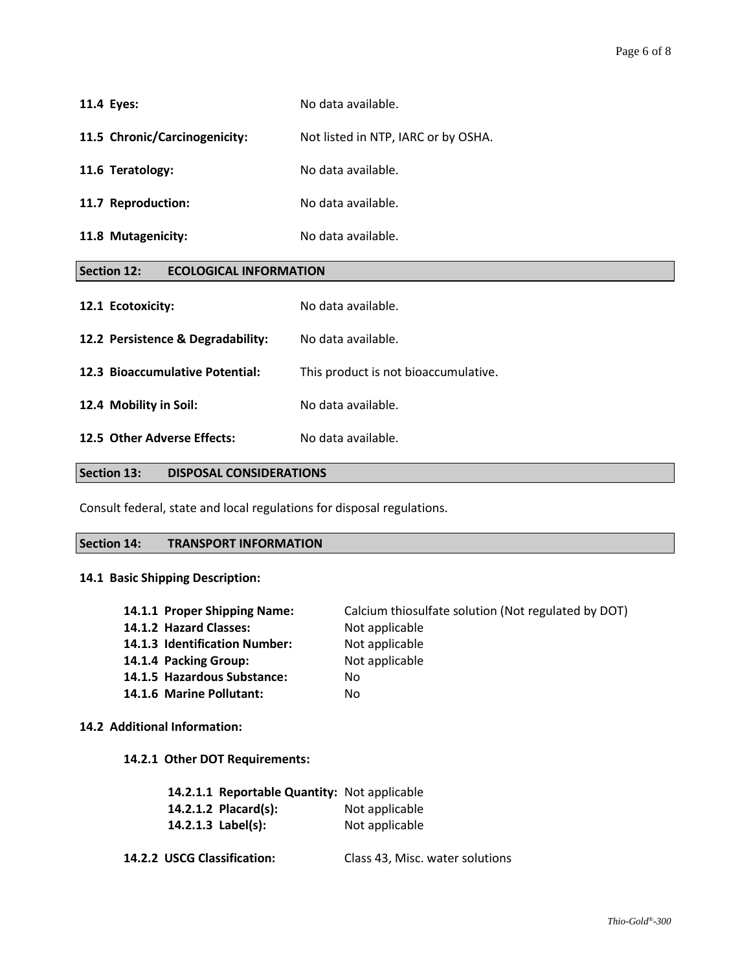| 11.4 Eyes:                                          | No data available.                  |  |
|-----------------------------------------------------|-------------------------------------|--|
| 11.5 Chronic/Carcinogenicity:                       | Not listed in NTP, IARC or by OSHA. |  |
| 11.6 Teratology:                                    | No data available.                  |  |
| 11.7 Reproduction:                                  | No data available.                  |  |
| 11.8 Mutagenicity:                                  | No data available.                  |  |
| <b>Section 12:</b><br><b>ECOLOGICAL INFORMATION</b> |                                     |  |
| 12.1 Ecotoxicity:                                   | No data available.                  |  |

| 12.2 Persistence & Degradability: | No data available.                   |
|-----------------------------------|--------------------------------------|
| 12.3 Bioaccumulative Potential:   | This product is not bioaccumulative. |
| 12.4 Mobility in Soil:            | No data available.                   |
|                                   |                                      |

**12.5 Other Adverse Effects:** No data available.

## **Section 13: DISPOSAL CONSIDERATIONS**

Consult federal, state and local regulations for disposal regulations.

#### **Section 14: TRANSPORT INFORMATION**

## **14.1 Basic Shipping Description:**

| 14.1.1 Proper Shipping Name:  | Calcium thiosulfate solution (Not regulated by DOT) |
|-------------------------------|-----------------------------------------------------|
| 14.1.2 Hazard Classes:        | Not applicable                                      |
| 14.1.3 Identification Number: | Not applicable                                      |
| 14.1.4 Packing Group:         | Not applicable                                      |
| 14.1.5 Hazardous Substance:   | No.                                                 |
| 14.1.6 Marine Pollutant:      | No                                                  |
|                               |                                                     |

#### **14.2 Additional Information:**

**14.2.1 Other DOT Requirements:**

| 14.2.1.1 Reportable Quantity: Not applicable |                |
|----------------------------------------------|----------------|
| 14.2.1.2 Placard(s):                         | Not applicable |
| 14.2.1.3 $Label(s):$                         | Not applicable |

**14.2.2 USCG Classification:** Class 43, Misc. water solutions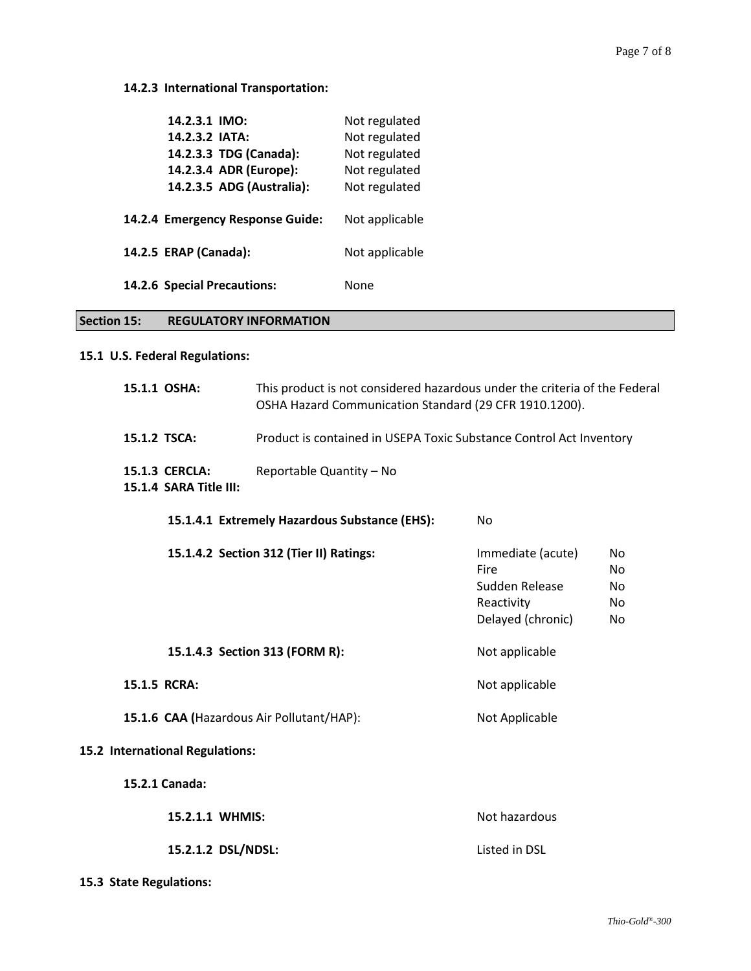## **14.2.3 International Transportation:**

| 14.2.3.1 IMO:                    | Not regulated  |
|----------------------------------|----------------|
| 14.2.3.2 IATA:                   | Not regulated  |
| 14.2.3.3 TDG (Canada):           | Not regulated  |
| 14.2.3.4 ADR (Europe):           | Not regulated  |
| 14.2.3.5 ADG (Australia):        | Not regulated  |
| 14.2.4 Emergency Response Guide: | Not applicable |
| 14.2.5 ERAP (Canada):            | Not applicable |
| 14.2.6 Special Precautions:      | None           |

## **Section 15: REGULATORY INFORMATION**

# **15.1 U.S. Federal Regulations:**

| 15.1.1 OSHA:                                    | This product is not considered hazardous under the criteria of the Federal<br>OSHA Hazard Communication Standard (29 CFR 1910.1200). |                                                                                |                              |
|-------------------------------------------------|--------------------------------------------------------------------------------------------------------------------------------------|--------------------------------------------------------------------------------|------------------------------|
| 15.1.2 TSCA:                                    | Product is contained in USEPA Toxic Substance Control Act Inventory                                                                  |                                                                                |                              |
| <b>15.1.3 CERCLA:</b><br>15.1.4 SARA Title III: | Reportable Quantity - No                                                                                                             |                                                                                |                              |
|                                                 | 15.1.4.1 Extremely Hazardous Substance (EHS):                                                                                        | No                                                                             |                              |
|                                                 | 15.1.4.2 Section 312 (Tier II) Ratings:                                                                                              | Immediate (acute)<br>Fire<br>Sudden Release<br>Reactivity<br>Delayed (chronic) | No<br>No<br>No<br>No.<br>No. |
|                                                 | 15.1.4.3 Section 313 (FORM R):                                                                                                       | Not applicable                                                                 |                              |
| 15.1.5 RCRA:                                    |                                                                                                                                      | Not applicable                                                                 |                              |
| 15.1.6 CAA (Hazardous Air Pollutant/HAP):       |                                                                                                                                      | Not Applicable                                                                 |                              |
| 15.2 International Regulations:                 |                                                                                                                                      |                                                                                |                              |
| 15.2.1 Canada:                                  |                                                                                                                                      |                                                                                |                              |
| 15.2.1.1 WHMIS:                                 |                                                                                                                                      | Not hazardous                                                                  |                              |
| 15.2.1.2 DSL/NDSL:                              |                                                                                                                                      | Listed in DSL                                                                  |                              |

**15.3 State Regulations:**